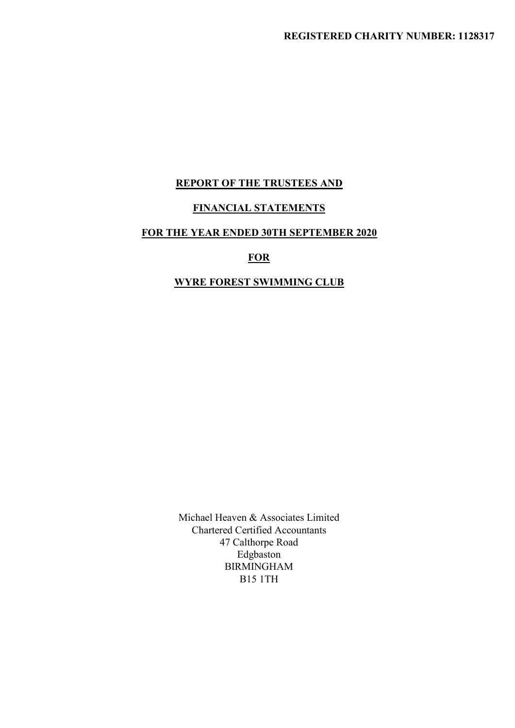# REGISTERED CHARITY NUMBER: 1128317<br>REPORT OF THE TRUSTEES AND<br>FINANCIAL STATEMENTS<br>HE YEAR ENDED 30TH SEPTEMBER 2020 FREGISTERED CHARITY NUMBER: 1128317<br>FENANCIAL STATEMENTS<br>FOR THE YEAR ENDED 30TH SEPTEMBER 2020<br>FOR<br>WYRE FOREST SWIMMING CLUB REPORT OF THE TRUSTEES AND<br>FINANCIAL STATEMENTS<br>HE YEAR ENDED 30TH SEPTEMBER 2020<br>FOR<br>WYRE FOREST SWIMMING CLUB

# **FOR**

Michael Heaven & Associates Limited<br>Chartered Certified Accountants<br>47 Calthorpe Road<br>Edgbaston<br>BIRMINGHAM chael Heaven & Associates Limited<br>Chartered Certified Accountants<br>47 Calthorpe Road<br>Edgbaston<br>BIRMINGHAM<br>BI5 1TH Heaven & Associates Limited<br>red Certified Accountants<br>47 Calthorpe Road<br>Edgbaston<br>BIRMINGHAM<br>BI5 1TH Edgbaston BIRMINGHAM B15 1TH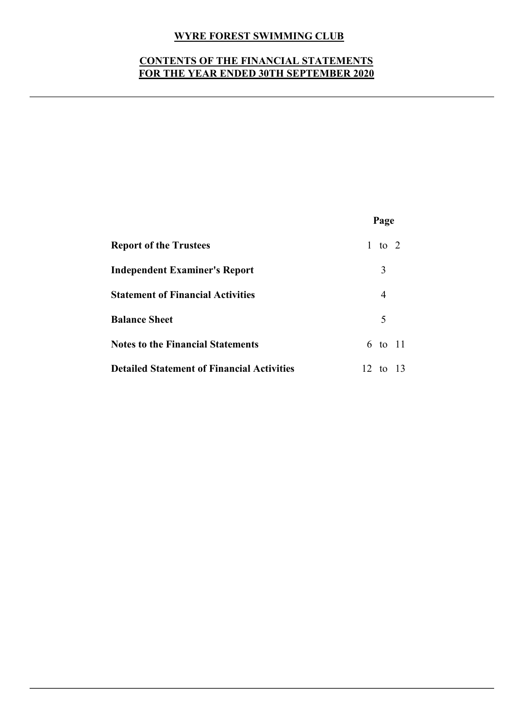# WYRE FOREST SWIMMING CLUB<br>ENTS OF THE FINANCIAL STATEMENTS<br>HE YEAR ENDED 30TH SEPTEMBER 2020 WYRE FOREST SWIMMING CLUB<br>CONTENTS OF THE FINANCIAL STATEMENTS<br>FOR THE YEAR ENDED 30TH SEPTEMBER 2020 WYRE FOREST SWIMMING CLUB<br>CONTENTS OF THE FINANCIAL STATEMENTS<br>FOR THE YEAR ENDED 30TH SEPTEMBER 2020

| <b>WYRE FOREST SWIMMING CLUB</b>                                                      |                |  |
|---------------------------------------------------------------------------------------|----------------|--|
| <b>CONTENTS OF THE FINANCIAL STATEMENTS</b><br>FOR THE YEAR ENDED 30TH SEPTEMBER 2020 |                |  |
|                                                                                       |                |  |
|                                                                                       |                |  |
|                                                                                       |                |  |
|                                                                                       | Page           |  |
| <b>Report of the Trustees</b>                                                         | 1 to 2         |  |
| <b>Independent Examiner's Report</b>                                                  | 3              |  |
| <b>Statement of Financial Activities</b>                                              | $\overline{4}$ |  |
| <b>Balance Sheet</b>                                                                  | 5              |  |
| <b>Notes to the Financial Statements</b>                                              | 6 to 11        |  |
| <b>Detailed Statement of Financial Activities</b>                                     | 12 to 13       |  |
|                                                                                       |                |  |
|                                                                                       |                |  |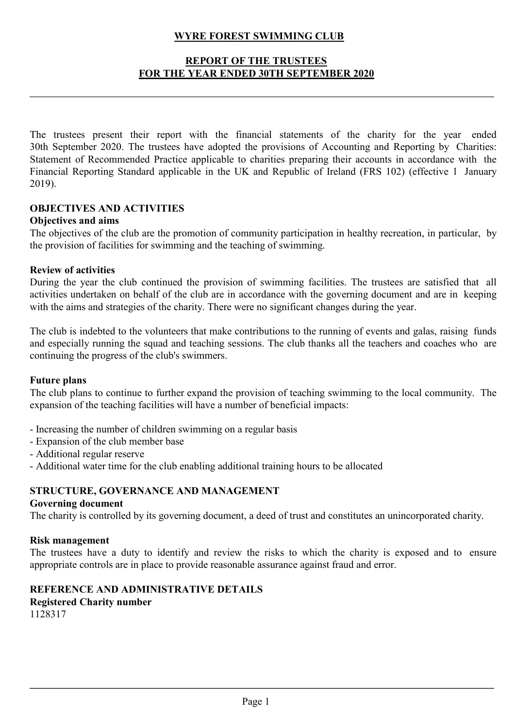# WYRE FOREST SWIMMING CLUB<br>REPORT OF THE TRUSTEES<br>IE YEAR ENDED 30TH SEPTEMBER 2020 YRE FOREST SWIMMING CLUB<br>REPORT OF THE TRUSTEES<br>YEAR ENDED 30TH SEPTEMBER 2020 WYRE FOREST SWIMMING CLUB<br>
REPORT OF THE TRUSTEES<br>
FOR THE YEAR ENDED 30TH SEPTEMBER 2020

**EXECT SWIMMING CLUB**<br> **THE TRUSTEES**<br> **THE TRUSTEES**<br> **THE TRUSTEES**<br> **THE TRUSTEES**<br> **THE CONSTERN EXECT OF THE TRUSTEES**<br> **THE CONSTERN EXECT AND FORM**<br> **EXECT AND SEPTEMBER 2020**<br> **ONE SET AND SEPTEMBER 2020**<br> **CONSTER EXECT SWIMMING CLUB**<br> **EXECT OF THE TRUSTEES**<br>
FOR THE VEAR ENDED 30TH SEPTEMBER 2020.<br>
The trustees present their report with the financial statements of the charity for the year ended<br>
30th September 2020. The trustees STATE OF THE TRUSTEES<br>
STATE OF THE TRUSTEES<br>
FOR THE VEAR ENDED 30TH SEPTEMBER 2020<br>
The trustees present their report with the financial statements of the charity for the year ended<br>
30th Scptember 2020. The trustees hav FINAL REPORT IN THE TRUSTEES<br>FOR THE VEAR ENDED 30TH SEPTEMBER 2020<br>The trustees present their report with the financial statements of the charity for the year ended<br>30th September 2020. The trustees have adopted the provi 2019). WYRE FOREST SWIMMING CLUB<br> **EEPORT OF THE TRUSTEES**<br>
FOR THE VEAR ENDED 30TH SEPTEMBER 2020<br>
The trustees present their report with the financial statements of the charity 1<br>
30th September 2020. The trustees have adopted **THE TRUSTE SWIMMING CLUB**<br> **THE TRUSTEES**<br> **FOR THE VEAR ENDED 30TH SEPTEMBER 2020**<br>
The trustees present their report with the financial statements of the charity for the year ended<br>
30th September 2020. The trustees hav **EXECT OF THE TRUSTEES**<br> **EXECT OF THE TRUSTEES**<br> **FOR THE VEAR ENDED 30TH SEPTEMBER 2020**<br>
The trustees present their report with the financial statements of the charity for the year ended<br>
30th September 2020. The truste **EXERT OF THE TRUSTEES**<br> **FOR THE VEAR ENDED 30TH SEPTEMBER 2020**<br>
The trustees present their report with the financial statements of the charity for the year ended<br>
30th September 2020. The trustees have adopted the provi **EOR THE VEAR ENDED 30TH SEPTEMBER 2020**<br>The trustees present their report with the financial statements of the charity for the year ended<br>30th September 2020. The trustees have adopted the provisions of Accounting and Rep The trustees present their report with the financial statements of the charity for the year ended 30th September 2020. The trustees have adopted the provisions of Accounting and Reporting Statement of Recommended Practice The trustees present their report with the financial statements of the charity for the year ended<br>30th September 2020. The trustees have adopted the provisions of Accounting and Reporting by Charities:<br>5Statement of Recomm The trustees present their report with the financial statements of the charity for the year ended<br>30th September 2020. The trustees have adopted the provisions of Accounting and Reporting by Charities:<br>Statement of Recomme The trustees present their report with the financial statements of the charity for the 30th September 2020. The trustees have adopted the provisions of Accounting and Reporting Standard practice applicable to charities pre

# Objectives and aims

# Review of activities

Statement of Recommended Practice applicable to charities preparing the<br>Financial Reporting Standard applicable in the UK and Republic of Irela<br>2019).<br>**OBJECTIVES AND ACTIVITIES**<br>**Objectives and aims**<br>The objectives of the Financial Reporting Standard applicable in the UK and Republic of Ireland (FRS 102) (effective 1 January<br>
2019).<br>
2019:<br>
2019:<br>
2019: Continue to continue to the club are the promotion of community participation in healthy 2019).<br> **OBJECTIVES AND ACTIVITIES**<br> **OBJECTIVES AND ACTIVITIES**<br> **OBJECTIVES and aims**<br>
The objectives of the club are the promotion of community participation in healthy recreation, in particular, by<br>
the provision of fa **OBLECTIVET SES AND ACTIVITIES**<br> **OBJECTIVES AND ACTIVITIES**<br> **OBJECTIVES AND ACTIVITIES**<br>
The objectives of the club are the promotion of community participation in healthy recreation, in particular, by<br>
the provision of **Objectives and aims**<br>The objectives of the club are the promotion of community participation in healthy recreati<br>the provision of facilities for swimming and the teaching of swimming.<br>**Review of activities**<br>During the yea The objectives of the club are the promotion of community participation in healthy recelube the provision of facilities for swimming and the teaching of swimming.<br> **Review of activities**<br>
During the year the club continued the provision of facilities for swimming and the teaching of swimming.<br>
Review of activities<br>
During the year the club continued the provision of swimming facilities. The trustees are satisfied that all<br>
During the year th Review of activities<br>
Review of activities<br>
Review of activities undertaken on behalf of the club are in accordance with the governing document and are in keep<br>
During the year the club continued the provision of swimming During the year the club continued the provision of swimming facilities. The<br>activities undertaken on behalf of the club are in accordance with the governine<br>with the aims and strategies of the charity. There were no signi activities underdates on behalf of the club are in accordance with the governing document and are in keeping<br>with the aims and strategies of the charity. There were no significant changes during the year.<br>The club is indeb The club is indebted to the volunteers that make contributions to the run<br>and especially running the squad and teaching sessions. The club thanks<br>continuing the progress of the club's swimmers.<br>Future plans<br>The club plans The club is indebted to the volunteers that make contributions to the running of events and galas, raising funds<br>and especially running the squad and teaching sessions. The club thanks all the teachers and coaches who are<br>

and especially running the squad and teaching sessions. The club thanks all the teachers and coaches who are<br>
Fulrer plans to continue to further expand the provision of teaching swimming to the local community. The<br>
Fulre **Future plans**<br>The club plans to continue to further expand the provision of teaching swimming to the local community. The<br>expansion of the teaching facilities will have a number of beneficial impacts:<br>- Expansion of the c Future plans to continue to further expand the provision of teaching swimming to the The club plans to continue to further expand the vanumber of beneficial impacts:<br>
- Increasing the number of children swimming on a regul

- 
- 
- 
- 

# 1128317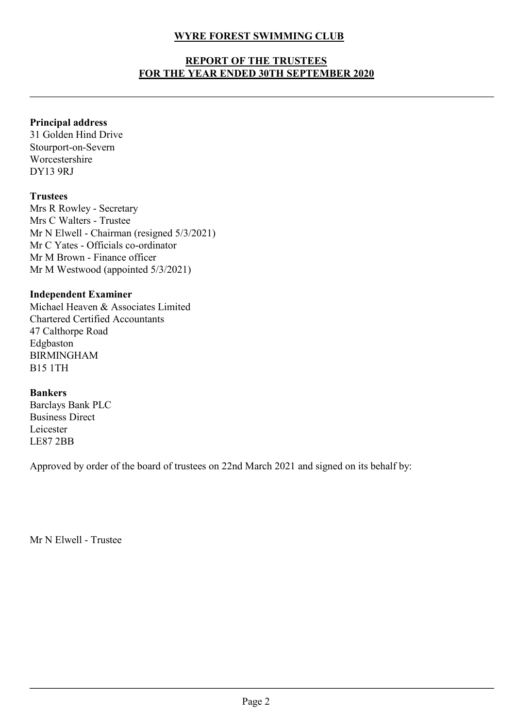# WYRE FOREST SWIMMING CLUB<br>REPORT OF THE TRUSTEES<br>IE YEAR ENDED 30TH SEPTEMBER 2020 YRE FOREST SWIMMING CLUB<br>REPORT OF THE TRUSTEES<br>YEAR ENDED 30TH SEPTEMBER 2020 WYRE FOREST SWIMMING CLUB<br>REPORT OF THE TRUSTEES<br>FOR THE YEAR ENDED 30TH SEPTEMBER 2020 WYRE FOREST SWIMMING CLUB<br>
REPORT OF THE TRUSTEES<br>
FOR THE YEAR ENDED 30TH SEPTEMBER 2020<br>
Principal address<br>
31 Golden Hind Drive<br>
Stourport-on-Severn<br>
Worcestershire<br>
DY13 9RJ

# Principal address

Stourport-on-Severn Worcestershire DY13 9RJ

# **Trustees**

WYRE FOREST SWIMMING CLUB<br>
REPORT OF THE TRUSTEES<br>
FOR THE VEAR ENDED 30TH SEPTEMBER 2020<br>
Principal address<br>
Stourport-on-Severn<br>
Stourport-on-Severn<br>
Worcestershire<br>
DY13 9RJ<br>
Trustees<br>
Mrs R Rowley - Secretary<br>
Mrs C Wa WYRE FOREST SWIMMING CLUB<br>
REPORT OF THE TRUSTEES<br>
FOR THE VEAR ENDED 30TH SEPTEMBER 2020<br>
Principal address<br>
31 Golden Hind Drive<br>
Stourport-on-Severn<br>
Worcestershire<br>
DY13 9RJ<br>
Trustees<br>
Mrs R Rowley - Secretary<br>
Mrs C W WYRE FOREST SWIMMING CLUB<br>
REPORT OF THE TRUSTEES<br>
FOR THE VEAR ENDED 30TH SEPTEMBER 2020<br>
Principal addres<br>
31 Golden Hind Drive<br>
Stourport-on-Severn<br>
Worcestershire<br>
DY13 9RJ<br>
Trustees<br>
Mrs C Walters - Trustee<br>
Mrs C Wal WYRE FOREST SWIMMING CLUB<br>
REPORT OF THE TRUSTEES<br>
FOR THE VEAR ENDED 30TH SEPTEMBER 2020<br>
Principal address<br>
31 Golden Hind Drive<br>
Norcestershire<br>
Wrecestershire<br>
DY13 9RJ<br>
Trustees<br>
Mrs R Rowley - Scerctary<br>
Mrs C Walter WYRE FOREST SWIMMING CLUB<br>
REPORT OF THE TRUSTEES<br>
FOR THE YEAR ENDED 30TH SEPTEMBER 2020<br>
Principal address<br>
31 Golden Hind Drive<br>
Stourport-on-Severn<br>
Worestershire<br>
DY13 9RJ<br>
Trustees<br>
Mrs R Rowley - Secretary<br>
Mrs C Wa **EEPORT OF THE TRUSTEES**<br>
FOR THE YEAR ENDED 30TH SEPTEMBER 2020<br>
Principal address<br>
31 Golden Hind Drive<br>
Stourport-on-Severn<br>
Worcestershire<br>
Mrs R. Rowley - Secretary<br>
Mrs R. Rowley - Secretary<br>
Mrs R. Novely - Secretar FOR THE YEAR ENDED 30TH SEPTEMBER 2020<br>
Principal address<br>
31 Golden Hind Drive<br>
Stourport-on-Severn<br>
Worcestershire<br>
DY13 9RJ<br>
Trustees<br>
Mrs C Walters - Trustee<br>
Mrs C Walters - Trustee<br>
Mr N Elwell - Chairman (resigned 5 **Principal address**<br>
31 Golden Hind Drive<br>
Stoupport-on-Severn<br>
Worcestershire<br>
DY13 9RJ<br> **Trustees**<br>
Mrs R. Rowley - Secretary<br>
Mrs C. Walters - Trustee<br>
Mr N Elwell - Chairman (resigned 5/3/2021)<br>
Mr C. Yates - Officials **Principal address**<br>
31 Golden Hind Drive<br>
Stourport-on-Severn<br>
Worcestershire<br>
DY13 9RJ<br> **Trustees**<br>
Mrs R Rowley - Scerctary<br>
Mrs R Rowley - Scerctary<br>
Mrs C Walters - Officials co-ordinator<br>
Mr C Yates - Officials co-or **Principal address**<br>
31 Golden Hind Drive<br>
Stourport-on-Severn<br>
Worcestershire<br>
DY13 9RJ<br> **Trustees**<br>
Mrs R Rowley - Secretary<br>
Mrs C Walters - Trustee<br>
Mr N Elwell - Chairman (resigned 5/3/2021)<br>
Mr C Yates - Officials co Trustees<br>
Mrs R. Rowley - Sceretary<br>
Mrs C. Walters - Trustee<br>
Mr N. Elswell - Chairman (resigned 5/3/2021)<br>
Mr C. Yates - Officials co-ordinator<br>
Mr M. Brown - Finance officer<br>
Mr M. Westwood (appointed 5/3/2021)<br>
Indepen Trustees<br>
Mrs Rowley - Secretary<br>
Mrs C Walters - Trustee<br>
Mr N Elwell - Chairman (resigned 5/3/2021)<br>
Mr C Yates - Officials co-ordinator<br>
Mr M M Stown - Finance officer<br>
Mr M Westwood (appointed 5/3/2021)<br> **Independent E** 

Edgbaston BIRMINGHAM B15 1TH Mr C'viets - Officials co-ordinator<br>
Mr M Brown - Finance officer<br>
Mr M Westwood (appointed 5/3/2021)<br> **Independent Examiner**<br>
Michael Heaven & Associates Limited<br>
47 Calthorpe Road<br>
47 Calthorpe Road<br>
47 Calthorpe Road<br>
E Chartered Certified Accountants<br>47 Calthorpe Road<br>Edgbaston<br>BIRMINGHAM<br>BIS 1TH<br>**Bankers**<br>Barclays Bank PLC<br>Leicester<br>Leicester<br>LE87 2BB<br>Approved by order of the board of trustees on 22nd March 2021 and signed on its<br>Mr N E

# Bankers

Leicester LE87 2BB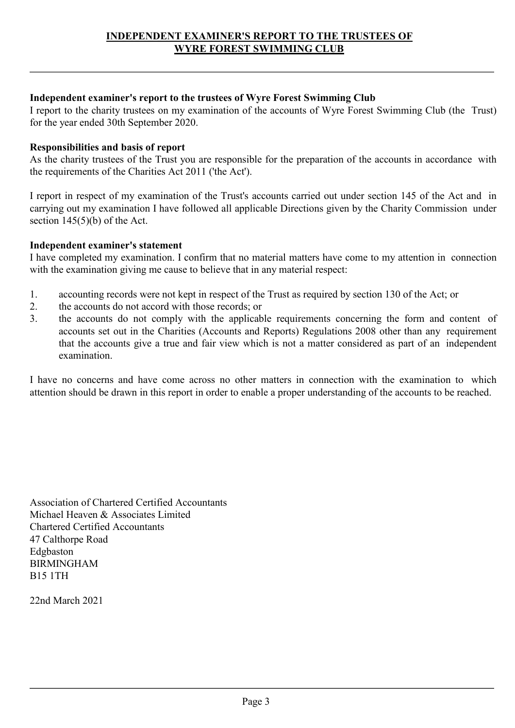INDEPENDENT EXAMINER'S REPORT TO THE TRUSTEES OF<br>WYRE FOREST SWIMMING CLUB<br>Independent examiner's report to the trustees of Wyre Forest Swimming Club<br>I report to the charity trustees on my examination of the accounts of Wy INDEPENDENT EXAMINER'S REPORT TO THE TRUSTEES OF<br>WYRE FOREST SWIMMING CLUB<br>I report to the charity trustees on my examination of the accounts of Wyre Forest Swimming Club (the Trust)<br>for the year ended 30th September 2020. **INDEPENDENT EXAMINER'S REPORT TO THE TRUSTEES OF**<br>WYRE FOREST SWIMMING CLUB<br>Independent examiner's report to the trustees of Wyre Forest Swimming Club<br>I report to the charity trustees on my examination of the accounts of INDEPENDENT EXAMINER'S REPORT TO THE TRUSTEES OF<br>WYRE FOREST SWIMMING CLUB<br>I report to the charity trustees on my examination of the accounts of Wyre Forest Swimming Club<br>for the year ended 30th September 2020.<br>Responsibil

**INDEPENDENT EXAMINER'S REPORT TO THE TRUSTEES OF**<br> **As the charity trustees on my examination of the accounts of Wyre Forest Swimming Club**<br>
I report to the charity trustees on my examination of the accounts of Wyre Fores INDEPENDENT EXAMINER'S REPORT TO THE TRUSTEES OF<br>WYRE FOREST SWIMMING CLUB<br>Independent examiner's report to the trustees of Wyre Forest Swimming Club<br>I report to the charity trustees on my examination of the accounts of Wy INDEPENDENT EXAMINER'S REPORT TO THE TRUSTEES OF<br>
Independent examiner's report to the trustees of Wyre Forest Swimming Club<br>
I report to the charity trustess on my examination of the accounts of Wyre Forest Swimming Club INDEPENDENT EXAMINER'S REPORT TO THE TRUSTEES OF<br>
WYRE FOREST SWIMMING CLUB<br>
Independent examiner's report to the trustees of Wyre Forest Swimming Club<br>
I report to the charity trustees on my examination of the accounts of **INDEPENDENT EXAMINER'S REPORT TO THE TRUSTEES OF**<br> **SECTION TO THE TRUSTEES OF**<br> **Independent examiner's report to the trustees of Wyre Forest Swimming Club**<br>
I report to the charity trustees on my examination of the acco INDEPENDENT EXAMINER'S REPORT TO THE TRUS<br> **IMPERT WYRE FOREST SWIMMING CLUB**<br>
Independent examiner's report to the trustees of Wyre Forest Swimming Clul<br>
I report to the charity trustees on my examination of the accounts INDEPENDENT EXAMINER'S REPORT TO THE TRUSTEES OF<br> **Independent examiner's report to the trustees of Wyre Forest Swimming Club**<br>
I report to the charity trustees on my examination of the accounts of Wyre Forest Swimming Clu **EXAME FOREST SWIMMING CLUB**<br> **Independent examiner's report to the trustees of Wyre Forest Swimming Club**<br>
Treport to the charity trustes on my examination of the accounts of Wyre Forest Swimming Club (the Trust)<br>
For th

- 
- 
- Independent examiner's report to the trustees of Wyre Forest Swimming Club<br>I report to the charity trustees on my examination of the accounts of Wyre Forest Swimming Club (the Trust)<br>for the year ended 30th September 2020. Independent examiner's report to the trustees of Wyre Forest Swimming Club<br>
I report to the charity trustes on my examination of the accounts of Wyre Forest Swimming Club (the Trust)<br>
for the year ended 30th September 2020 Independent examiner's report to the trustees of Wyre Forest Swimming Club<br>I report to the charity trustees on my examination of the accounts of Wyre Forest Swimming Club (the Trust)<br>for the year ended 30th September 2020. to the charity trustees on my examination of the accounts of Wyre Forest Swimming Club (the Trust)<br>
spariented 30th September 2020.<br>
charity trustees of the Trust you are responsible for the preparation of the accounts in year ended 30th September 2020.<br> **Insibilities and basis of report**<br>
charity trustees of the Trust you are responsible for the preparation of the accounts in accordance with<br>
itierments of the Charities Act 2011 ('the Act' examination. As the charity trustecs of the Trust you are responsible for the preparation of the accounts in accordance with<br>the requirements of the Charities Act 2011 (the Act).<br>I report in respect of my examination of the Trust's acc If report in respect of my examination of the Tust's accounts carried out under section 145 of the Act and in carrying out my examination I have followed all applicable Directions given by the Charity Commission under sect 1. accounting records were not kept in respect of the Trust as required by section 130 of the Act; or<br>
2. the accounts do not accord with those records; or<br>
3. the accounts do not comply with the applicable requirements co 1. accounting records were not kept in respect of the Trust as required by section 130 of the Accounts do not accounts with those records; or<br>the accounts do not comply with the applicable requirements concerning the form 2. the accounts do not accord with those records; or<br>
3. the accounts set ont comply with the applicable requirements concerning the<br>
accounts set out in the Charities (Accounts and Reports) Regulations 2008 othe<br>
that the

3. the accounts do not comply with the applicable requirements concern<br>accounts set out in the Charities (Accounts and Reports) Regulations 200<br>that the accounts give a true and fair view which is not a matter conside<br>exam Edgbaston BIRMINGHAM B15 1TH

22nd March 2021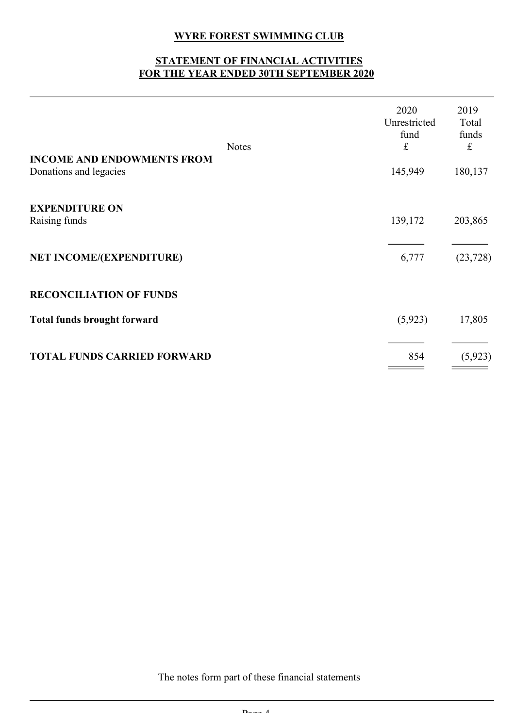# WYRE FOREST SWIMMING CLUB<br>TEMENT OF FINANCIAL ACTIVITIES<br>IE YEAR ENDED 30TH SEPTEMBER 2020

|                                                             | <b>WYRE FOREST SWIMMING CLUB</b><br>STATEMENT OF FINANCIAL ACTIVITIES<br>FOR THE YEAR ENDED 30TH SEPTEMBER 2020 |                                                           |                                                                                                                                                                               |
|-------------------------------------------------------------|-----------------------------------------------------------------------------------------------------------------|-----------------------------------------------------------|-------------------------------------------------------------------------------------------------------------------------------------------------------------------------------|
|                                                             | <b>Notes</b>                                                                                                    | 2020<br>Unrestricted<br>fund<br>$\ensuremath{\mathbf{f}}$ | 2019<br>Total<br>funds<br>$\mathfrak{L}% _{F}=\mathfrak{L}_{F,\mathbb{R}}\times\mathfrak{L}_{F,\mathbb{R}}\times\mathfrak{L}_{F,\mathbb{R}}\times\mathfrak{L}_{F,\mathbb{R}}$ |
| <b>INCOME AND ENDOWMENTS FROM</b><br>Donations and legacies |                                                                                                                 | 145,949                                                   | 180,137                                                                                                                                                                       |
| <b>EXPENDITURE ON</b><br>Raising funds                      |                                                                                                                 | 139,172                                                   | 203,865                                                                                                                                                                       |
| NET INCOME/(EXPENDITURE)                                    |                                                                                                                 | 6,777                                                     | (23, 728)                                                                                                                                                                     |
| <b>RECONCILIATION OF FUNDS</b>                              |                                                                                                                 |                                                           |                                                                                                                                                                               |
| <b>Total funds brought forward</b>                          |                                                                                                                 | (5, 923)                                                  | 17,805                                                                                                                                                                        |
|                                                             |                                                                                                                 |                                                           |                                                                                                                                                                               |

The notes form part of these financial statements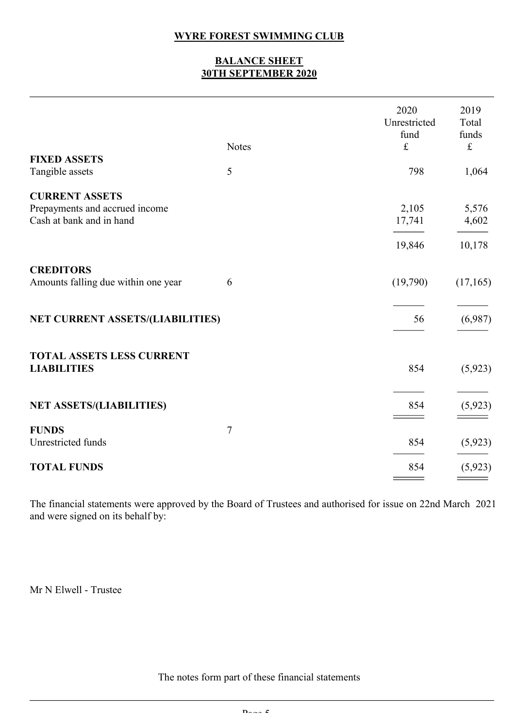# WYRE FOREST SWIMMING CLUB<br>BALANCE SHEET<br>30TH SEPTEMBER 2020

|                                                                                     | <b>WYRE FOREST SWIMMING CLUB</b><br><b>BALANCE SHEET</b><br>30TH SEPTEMBER 2020 |                              |                        |
|-------------------------------------------------------------------------------------|---------------------------------------------------------------------------------|------------------------------|------------------------|
|                                                                                     |                                                                                 | 2020<br>Unrestricted<br>fund | 2019<br>Total<br>funds |
| <b>FIXED ASSETS</b><br>Tangible assets                                              | <b>Notes</b><br>$\mathfrak{S}$                                                  | $\mathbf f$<br>798           | $\mathbf f$<br>1,064   |
| <b>CURRENT ASSETS</b><br>Prepayments and accrued income<br>Cash at bank and in hand |                                                                                 | 2,105<br>17,741              | 5,576<br>4,602         |
|                                                                                     |                                                                                 | 19,846                       | 10,178                 |
| <b>CREDITORS</b><br>Amounts falling due within one year                             | 6                                                                               | (19,790)                     | (17,165)               |
| NET CURRENT ASSETS/(LIABILITIES)                                                    |                                                                                 | 56                           | (6,987)                |
| TOTAL ASSETS LESS CURRENT<br><b>LIABILITIES</b>                                     |                                                                                 | 854                          | (5, 923)               |
| <b>NET ASSETS/(LIABILITIES)</b>                                                     |                                                                                 | 854                          | (5, 923)               |
| <b>FUNDS</b><br>Unrestricted funds                                                  | $\boldsymbol{7}$                                                                | 854                          | (5, 923)               |
| <b>TOTAL FUNDS</b>                                                                  |                                                                                 | 854                          | (5, 923)               |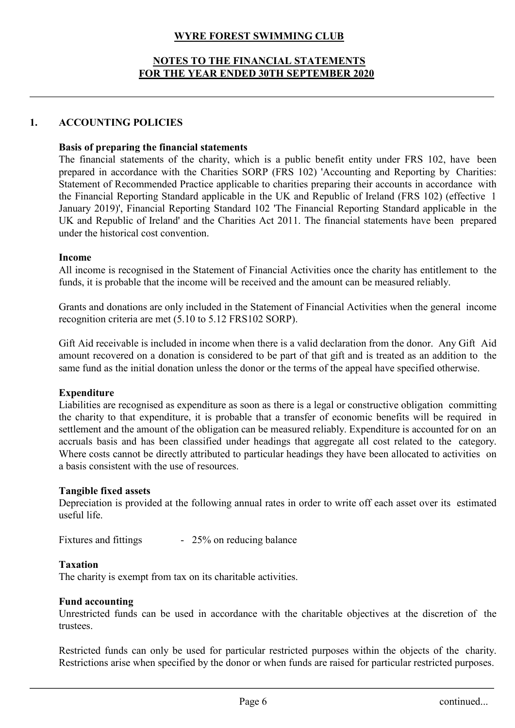# WYRE FOREST SWIMMING CLUB<br>TES TO THE FINANCIAL STATEMENTS<br>HE YEAR ENDED 30TH SEPTEMBER 2020 WYRE FOREST SWIMMING CLUB<br>NOTES TO THE FINANCIAL STATEMENTS<br>R THE YEAR ENDED 30TH SEPTEMBER 2020 WYRE FOREST SWIMMING CLUB<br>NOTES TO THE FINANCIAL STATEMENTS<br>FOR THE YEAR ENDED 30TH SEPTEMBER 2020<br>OLICIES

WYRE FOREST SWIMMING CLUB<br>
NOTES TO THE FINANCIAL STATEMENTS<br>
FOR THE VEAR ENDED 30TH SEPTEMBER 2020<br>
1. ACCOUNTING POLICIES<br>
Basis of preparing the financial statements<br>
The financial statements of the charity, which is a WYRE FOREST SWIMMING CLUB<br>
NOTES TO THE FINANCIAL STATEMENTS<br>
FOR THE YEAR ENDED 30TH SEPTEMBER 2020<br>
ACCOUNTING POLICIES<br>
Basis of preparing the financial statements<br>
The financial statements of the charity, which is a pu WYRE FOREST SWIMMING CLUB<br>
NOTES TO THE FINANCIAL STATEMENTS<br>
FOR THE VEAR ENDED 30TH SEPTEMBER 2020<br>
ACCOUNTING POLICIES<br>
Basis of preparing the financial statements<br>
The financial statements of the charity, which is a pu **EXECT SWIMMING CLUB**<br> **PREPARE TO THE FINANCIAL STATEMENTS**<br> **FOR THE VEAR ENDED 30TH SEPTEMBER 2020**<br> **ACCOUNTING POLICIES**<br> **Basis of preparing the financial statements**<br>
The financial statements<br>
or prepared in accorda **STATE STATE STATE STATEMENTS**<br>
STATEMENTS<br>
FOR THE VEAR ENDED 30TH SEPTEMBER 2020<br>
ACCOUNTING POLICIES<br>
Basis of preparing the financial statements<br>
The financial statements of the charity, which is a public benefit entit **EXECT SWIMMING CLUB**<br> **EXECT TO THE FINANCIAL STATEMENTS**<br> **FOR THE YEAR ENDED 30TH SEPTEMBER 2020**<br> **ACCOUNTING POLICIES**<br> **Basis of preparing the financial statements**<br> **The financial statements of the charity, which is STANUARY ACCOUNTING COMPRESS CONTRACT SUPPER STATEMENTS**<br> **FOR THE YEAR ENDED 30TH SEPTEMBER 2020**<br> **ACCOUNTING POLICIES**<br> **Basis of preparing the financial statements**<br>
The financial statements of the charity, which is a WYRE FOREST SWIMMING CLUB<br>
NOTES TO THE FINANCIAL STATEMENTS<br>
FOR THE VEAR ENDED 30TH SEPTEMBER 2020<br>
ACCOUNTING POLICIES<br>
Basis of preparing the financial statements<br>
The financial statements of the charity, which is a pu WYRE FOREST SWIMMING CLUB<br>
NOTES TO THE FINANCIAL STATEMENTS<br>
FOR THE VEAR ENDED 30TH SEPTEMBER 2020<br>
ACCOUNTING POLICIES<br>
Basis of preparing the financial statements<br>
The financial statements<br>
The financial statements of **EXECUTE ALL INCOUNTING FOLICES**<br> **EXECUTE: ACCOUNTING POLICIES**<br> **Basis of preparing the financial statements**<br> **The financial statements** of the charity, which is a public benefit entity under FRS 102, have been<br>
The **FOR THE FINANCIAL STATEMENTS**<br> **FOR THE VEAR ENDED 30TH SEPTEMBER 2020**<br> **ACCOUNTING POLICIES**<br> **Basis of preparing the financial statements**<br>
The financial statements of the charity, which is a public benefit entity unde ACCOUNTING POLICIES<br>
Basis of preparing the financial statements<br>
The financial satements of the charities SORP (FRS 102) 'Accounting and Reporting by Charities:<br>
Statement of Recommended Practice applicable to charities **ACCOUNTING POLICIES**<br> **Rasis of preparing the financial statements**<br> **The financial statements** of the charity, which is a public benefit entity under FRS 102, have been<br>
prepared in accordance with the Charitics: SORP (F ACCOUNTING POLICIES<br>
Basis of preparing the financial statements<br>
The financial sattements of the charities SORP (FRS 102) 'Accounting and Reporting by Charities:<br>
Statement of Recommended Practice applicable to charities **Rasis of preparing the financial statements**<br>The financial statements of the charity, which is a public benefit entity under FRS 102, have been<br>prepared in accordance with the Charitics: SORP (FRS 102) 'Accounting and Rep **Basis of preparing the financial statements** of the charity, which is a public benefit entity under FRS 102, have been<br>prepared in accordance with the Charities SORP (FRS 102) 'Accounting and Reporting by Charities:<br>State

# Income

# Expenditure

Statement of Recommended Practice applicable to charities preparing their accounts in accordance with<br>Einancial Reporting Standard applicable in the UK and Republic of FeBand (FRS 102) (effective 1<br>January 2019)', Financia the Financial Reporting Standard applicable in the UK and Repolutio of Ircland (FRS 102) (effective 1<br>Danuary 2019), Financial Reporting Standard 102 The Financial Reporting Standard applicable in the<br>UK and Republic of Ir January 2019). Financial Reporting Standard 102 "The Financial Reporting Standard applicable in the UK and Republic of Ireland' and the Charities Act 2011. The financial statements have been prepared under the historical c UK and Republic of Ireland' and the Charities Act 2011. The financial statements have been prepared<br> **Income**<br> **Income**<br> **All income** is recognised in the Statement of Financial Activities once the charity has entitlement Income<br>
All income is recognised in the Statement of Financial Activities once the charity has entitlement to the<br>
flunds, it is probable that the income will be received and the amount can be measured reliably.<br>
Grants an Income<br>
All income<br>
All income is recognised in the Statement of Financial Activities once the charity has entitlement to<br>
funds, it is probable that the income will be received and the amount can be measured reliably.<br>
Gr All income is recognised in the Statement of Financial Activities once the charaction, the statement of Financial Activities once the charaction, it is probable that the income will be received and the amount can be m Gra funds, it is probable that the income will be received and the amount can be measured reliably.<br>
Grants and donations are only included in the Statement of Financial Activities when the general income<br>
recognition criteria Grants and donations are only included in the Statement of Financial Active<br>recognition criteria are met  $(5.10 \text{ to } 5.12 \text{ FRs102 SORP})$ .<br>Gift Aid receivable is included in income when there is a valid declaration<br>amount re recognition criteria are met  $(5.10 \text{ to } 5.12 \text{ FRS102 SORP})$ .<br>
Gift Aid receivable is included in income when there is a valid declaration from the donor. Any Gift amount recovered on a donation is considered to be part of amount recovered on a donation is considered to be part of that gift and is treated as an addition to the same fund as the initial donation unless the donor or the terms of the appeal have specified otherwise.<br>**Exhenditure** Expenditure as soon as there is a legal or constructive obligation committing<br>
Elabilities are recognised as expenditure, it is probable that a transfer of economic benefits will be required in<br>
settlement and the amount Settlement and the amount of the obligation can be measured reliably. Expenditure is accounted for on an accounted for the other category.<br>Where costs cannot be directly attributed to particular headings they have been all accuals basis and has been classified under headings that aggregate all cost related to the category.<br>Where costs cannot be directly attributed to particular headings they have been allocated to activities on<br>a basis consi

# Taxation

# Fund accounting

trustees. mual rates in order to write off each asset over its estimated<br>
ultimated<br>
ultimate black and the characteristics.<br>
And the characteristics at the discretion of the<br>
ticular restricted purposes within the objects of the ch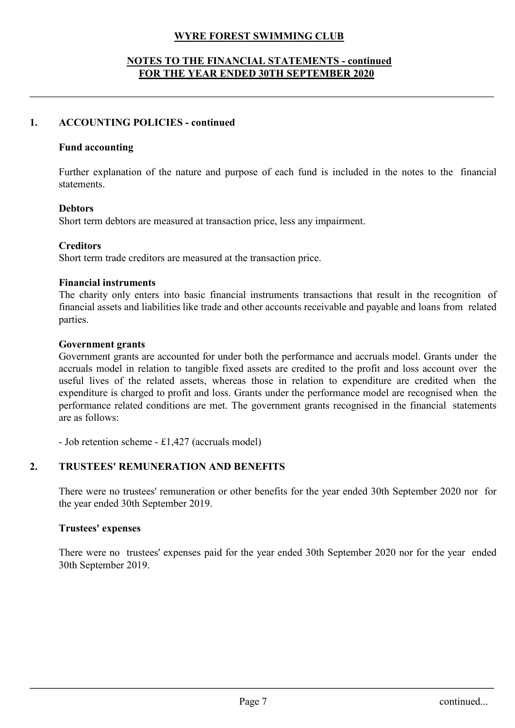# WYRE FOREST SWIMMING CLUB<br>O THE FINANCIAL STATEMENTS - continued<br>IE YEAR ENDED 30TH SEPTEMBER 2020 WYRE FOREST SWIMMING CLUB<br>
NOTES TO THE FINANCIAL STATEMENTS - continued<br>
FOR THE YEAR ENDED 30TH SEPTEMBER 2020 WYRE FOREST SWIMMING CLUB<br>TES TO THE FINANCIAL STATEMENTS - continued<br>FOR THE YEAR ENDED 30TH SEPTEMBER 2020<br>OLICIES - continued WYRE FOREST SWIMMING CLUB<br>
NOTES TO THE FINANCIAL STATEMENTS - continued<br>
FOR THE VEAR ENDED 30TH SEPTEMBER 2020<br>
1. ACCOUNTING POLICIES - continued<br>
Fund accounting<br>
Further explanation of the nature and purpose of each f

# Fund accounting

FURTHER EXPLANATION CONTO THE NATURE AND THE NATURE AND SUPPOSE OF THE NEXT AND SUPPLEMBER 2020<br>FURTHE VEAR ENDED 30TH SEPTEMBER 2020<br>ACCOUNTING POLICIES - continued<br>Further explanation of the nature and purpose of each fu statements. Short term debtors are measured at transaction price, less any impairment.<br>
Short term debtors are measured at transaction price, less any impairment.<br>
Short term debtors are measured at transaction price, less any impairm

# **Debtors**

# **Creditors**

WIRE FOREST SWIMMING CLUB<br>
SOTES TO THE FINANCIAL STATEMENTS - continued<br>
FOR THE YEAR ENDED 30TH SEPTEMBER 2020<br>
ACCOUNTING POLICIES - continued<br>
Further explanation of the nature and purpose of each fund is included in t **SOTES TO THE FINANCIAL STATEMENTS - continue**<br> **FOR THE YEAR ENDED 30TH SEPTEMBER 2020**<br> **ACCOUNTING POLICIES - continued**<br>
Further explanation of the nature and purpose of each fund is included in<br>
statements.<br> **Debtors** FOR THE VEAR ENDED 30TH SEPTEMBER 2020<br>
ACCOUNTING POLICIES - continued<br>
Further explanation of the nature and purpose of each fund is included in the notes to the financial<br>
statements.<br>
Debtors<br>
Ebort term debtors are me ACCOUNTING POLICIES - continued<br>
Further explanation of the nature and purpose of each fund is included in the notes to the financial<br>
statements.<br>
Debtors<br>
Short term debtors are measured at transaction price, less any im parties.

# Government grants

Fund accounting<br>Further explanation of the nature and purpose of each fund is included in the notes to the financial<br>statements.<br>Debtors<br>Short term debtors are measured at transaction price, less any impairment.<br>Creditors<br> Fund accounting<br>Further explanation of the nature and purpose of each fund is included in the notes to the financial<br>statements.<br>Debtors<br>Short term debtors are measured at transaction price, less any impairment.<br>Creditors<br> Further explanation of the nature and purpose of each fund is included in the notes to the financial<br>statements.<br>**Debtors**<br>**Short** term debtors are measured at transaction price, less any impairment.<br>**Creditors**<br>**Short** te Further explanation of the nature and purpose of each fund is included in the notes to the financial<br>**Debitors.**<br>**Debitors.**<br>**Creditors**<br>**Creditors**<br>**Creditors**<br>**Creditors**<br>**Creditors**<br>**Creditors**<br>**Creditors**<br>**Creditors**<br> statements.<br> **Debtors**<br> **Creditors**<br>
Short term debtors are measured at transaction price, less any impairment.<br> **Creditors**<br> **Ernancial instruments**<br> **Financial instruments**<br> **Financial instruments**<br> **Financial instrument Debtors**<br>
Short term debtors are measured at transaction price, less any impairment.<br>
Creditors<br>
Short term trade creditors are measured at the transaction price.<br>
Financial instruments<br>
The charity only enters into basi Short term debtors are measured at transaction price, less any impairment.<br>
Creditors<br>
Short term trade creditors are measured at the transaction price.<br>
Financial instruments<br>
The charity only enters into basic financial **Creditors**<br> **Creditors**<br> **CREMOTION:**<br> **CREMOTION:**<br> **CREMOTION:**<br> **CREMOTION:**<br> **CREMOTION:**<br> **CREMOTION:**<br> **CREMOTION:**<br> **COVERTMENT STATE INTERT OF CONSIDE AND MOTE THAT COVERTIBE AND HOWERT PARTS.<br>
<b>COVERTMENT STATES Financial instruments**<br>The charity only enters into basic financial instruments transactions that result in the recognition of<br>financial assets and liabilities like trade and other accounts receivable and payable and loa **Financial instruments**<br>The charity only enters into basic financial instruments transactions that result in the<br>financial assets and liabilities like trade and other accounts receivable and payable and lc<br>parties.<br>Govern financial assets and liabilities like trade and other accounts receivable and paya<br>parties.<br> **Government grants**<br> **Government grants**<br> **Government grants**<br> **Government grants**<br> **Covernment grants**<br> **Covernment grants**<br> **C** Government grants<br>Government grants are accounted for under both the performance and accruals model. Grants under the<br>accruals model in relation to tragible fixed assets are credited to the profit and loss account over the **Government grants**<br>
Government grants are accounted for under both the performance and ac<br>
dovernment grants are accounted for under both the performance and ac<br>
dacertuals model in relation to tangible fixed assets are

the benefits for the year ended 30th September 2020 nor for the year ended 30th September 2020 nor for the year ended<br>the year ended 30th September 2020 nor for the year ended<br>page 7 continued...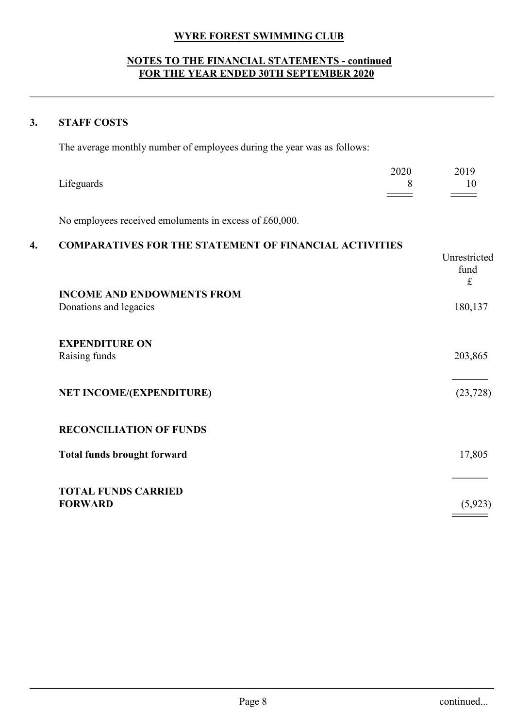# WYRE FOREST SWIMMING CLUB<br>O THE FINANCIAL STATEMENTS - continued<br>IE YEAR ENDED 30TH SEPTEMBER 2020 WYRE FOREST SWIMMING CLUB<br>
NOTES TO THE FINANCIAL STATEMENTS - continued<br>
FOR THE YEAR ENDED 30TH SEPTEMBER 2020 WYRE FOREST SWIMMING CLUB<br>TES TO THE FINANCIAL STATEMENTS - continued<br>FOR THE YEAR ENDED 30TH SEPTEMBER 2020 WYRE FOREST SWIMMING CLUB<br>
NOTES TO THE FINANCIAL STATEMENTS - continued<br>
FOR THE YEAR ENDED 30TH SEPTEMBER 2020<br>
3. STAFF COSTS<br>
The average monthly number of employees during the year was as follows:

|    | <b>WYRE FOREST SWIMMING CLUB</b><br><b>NOTES TO THE FINANCIAL STATEMENTS - continued</b>                                |                            |                                   |
|----|-------------------------------------------------------------------------------------------------------------------------|----------------------------|-----------------------------------|
|    | FOR THE YEAR ENDED 30TH SEPTEMBER 2020                                                                                  |                            |                                   |
| 3. | <b>STAFF COSTS</b>                                                                                                      |                            |                                   |
|    | The average monthly number of employees during the year was as follows:                                                 |                            |                                   |
|    | Lifeguards                                                                                                              | 2020<br>8                  | 2019<br>10                        |
|    |                                                                                                                         | $\equiv$ $\equiv$ $\equiv$ | $\sim$ $\sim$                     |
| 4. | No employees received emoluments in excess of £60,000.<br><b>COMPARATIVES FOR THE STATEMENT OF FINANCIAL ACTIVITIES</b> |                            |                                   |
|    |                                                                                                                         |                            | Unrestricted<br>fund<br>$\pounds$ |
|    | <b>INCOME AND ENDOWMENTS FROM</b><br>Donations and legacies                                                             |                            | 180,137                           |
|    | <b>EXPENDITURE ON</b><br>Raising funds                                                                                  |                            | 203,865                           |
|    | NET INCOME/(EXPENDITURE)                                                                                                |                            | (23, 728)                         |
|    | <b>RECONCILIATION OF FUNDS</b>                                                                                          |                            |                                   |
|    | Total funds brought forward                                                                                             |                            | 17,805                            |
|    | <b>TOTAL FUNDS CARRIED</b><br><b>FORWARD</b>                                                                            |                            | (5, 923)                          |
|    |                                                                                                                         |                            |                                   |
|    |                                                                                                                         |                            |                                   |
|    |                                                                                                                         |                            |                                   |
|    |                                                                                                                         |                            |                                   |
|    |                                                                                                                         |                            |                                   |
|    |                                                                                                                         |                            |                                   |
|    | Page 8                                                                                                                  |                            | continued                         |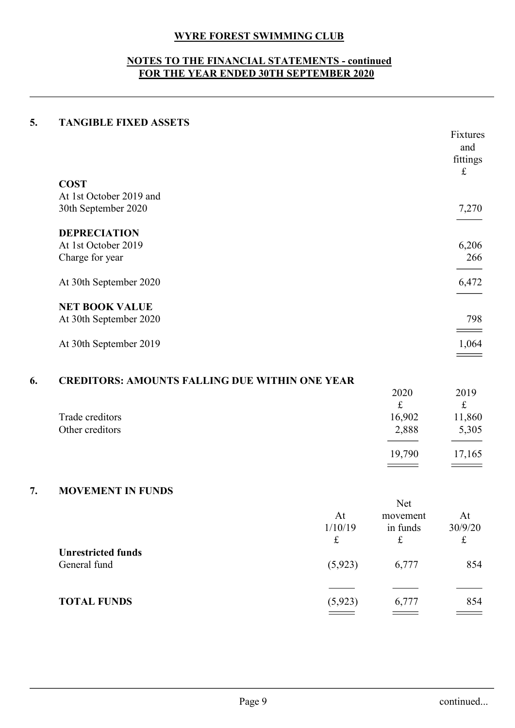# WYRE FOREST SWIMMING CLUB<br>O THE FINANCIAL STATEMENTS - continued<br>IE YEAR ENDED 30TH SEPTEMBER 2020 WYRE FOREST SWIMMING CLUB<br>
NOTES TO THE FINANCIAL STATEMENTS - continued<br>
FOR THE YEAR ENDED 30TH SEPTEMBER 2020 WYRE FOREST SWIMMING CLUB<br>
TES TO THE FINANCIAL STATEMENTS - continued<br>
FOR THE YEAR ENDED 30TH SEPTEMBER 2020<br>
CD ASSETS

|    | <b>WYRE FOREST SWIMMING CLUB</b>                                                               |              |                       |                                          |
|----|------------------------------------------------------------------------------------------------|--------------|-----------------------|------------------------------------------|
|    | <b>NOTES TO THE FINANCIAL STATEMENTS - continued</b><br>FOR THE YEAR ENDED 30TH SEPTEMBER 2020 |              |                       |                                          |
| 5. | <b>TANGIBLE FIXED ASSETS</b>                                                                   |              |                       |                                          |
|    |                                                                                                |              |                       | Fixtures<br>and<br>fittings<br>$\pounds$ |
|    | <b>COST</b>                                                                                    |              |                       |                                          |
|    | At 1st October 2019 and                                                                        |              |                       |                                          |
|    | 30th September 2020                                                                            |              |                       | 7,270                                    |
|    | <b>DEPRECIATION</b>                                                                            |              |                       |                                          |
|    | At 1st October 2019                                                                            |              |                       | 6,206                                    |
|    | Charge for year                                                                                |              |                       | 266                                      |
|    |                                                                                                |              |                       |                                          |
|    | At 30th September 2020                                                                         |              |                       | 6,472                                    |
|    | <b>NET BOOK VALUE</b>                                                                          |              |                       |                                          |
|    | At 30th September 2020                                                                         |              |                       | 798                                      |
|    |                                                                                                |              |                       |                                          |
|    | At 30th September 2019                                                                         |              |                       |                                          |
|    |                                                                                                |              |                       |                                          |
| 6. | <b>CREDITORS: AMOUNTS FALLING DUE WITHIN ONE YEAR</b>                                          |              |                       |                                          |
|    |                                                                                                |              | 2020                  | 2019                                     |
|    |                                                                                                |              | $\mathbf f$           | $\mathbf f$                              |
|    | Trade creditors<br>Other creditors                                                             |              | 16,902<br>2,888       | 11,860<br>5,305                          |
|    |                                                                                                |              |                       |                                          |
|    |                                                                                                |              | 19,790                | 17,165                                   |
|    |                                                                                                |              |                       |                                          |
| 7. | MOVEMENT IN FUNDS                                                                              |              |                       |                                          |
|    |                                                                                                |              | Net                   |                                          |
|    |                                                                                                | At           | movement              | At                                       |
|    |                                                                                                | 1/10/19<br>f | in funds<br>$\pounds$ | 30/9/20<br>$\pounds$                     |
|    |                                                                                                |              |                       |                                          |

| <b>NET BOOK VALUE</b>                                 |             |             |                                   |
|-------------------------------------------------------|-------------|-------------|-----------------------------------|
| At 30th September 2020                                |             |             | 798                               |
| At 30th September 2019                                |             |             | <b>Contract Contract</b><br>1,064 |
|                                                       |             |             |                                   |
| <b>CREDITORS: AMOUNTS FALLING DUE WITHIN ONE YEAR</b> |             |             |                                   |
|                                                       |             | 2020        | 2019                              |
|                                                       |             | $\pounds$   | $\mathbf f$                       |
| Trade creditors                                       |             | 16,902      | 11,860                            |
| Other creditors                                       |             | 2,888       | 5,305                             |
|                                                       |             |             |                                   |
|                                                       |             | 19,790      | 17,165                            |
|                                                       |             |             |                                   |
| <b>MOVEMENT IN FUNDS</b>                              |             |             |                                   |
|                                                       |             | Net         |                                   |
|                                                       | At          | movement    | At                                |
|                                                       | 1/10/19     | in funds    | 30/9/20                           |
|                                                       | $\mathbf f$ | $\mathbf f$ | $\pounds$                         |
| <b>Unrestricted funds</b>                             |             |             |                                   |
| General fund                                          | (5, 923)    | 6,777       | 854                               |
|                                                       |             |             |                                   |

| 1,064<br>At 30th September 2019<br>$\qquad \qquad =$<br><b>CREDITORS: AMOUNTS FALLING DUE WITHIN ONE YEAR</b><br>2020<br>2019<br>f<br>$\mathbf f$<br>16,902<br>Trade creditors<br>11,860<br>Other creditors<br>2,888<br>5,305<br>19,790<br>17,165<br>$\equiv$ $\equiv$<br><b>MOVEMENT IN FUNDS</b><br>Net<br>At<br>At<br>movement<br>1/10/19<br>30/9/20<br>in funds<br>$\mathbf f$<br>$\mathbf f$<br>$\mathbf f$<br><b>Unrestricted funds</b><br>(5, 923)<br>General fund<br>6,777<br>854<br><b>TOTAL FUNDS</b><br>(5, 923)<br>6,777<br>854<br>$\qquad \qquad =$<br>$\qquad \qquad =$<br>$\qquad \qquad =$ | <b>NET BOOK VALUE</b><br>At 30th September 2020 |  | 798       |
|------------------------------------------------------------------------------------------------------------------------------------------------------------------------------------------------------------------------------------------------------------------------------------------------------------------------------------------------------------------------------------------------------------------------------------------------------------------------------------------------------------------------------------------------------------------------------------------------------------|-------------------------------------------------|--|-----------|
|                                                                                                                                                                                                                                                                                                                                                                                                                                                                                                                                                                                                            |                                                 |  |           |
|                                                                                                                                                                                                                                                                                                                                                                                                                                                                                                                                                                                                            |                                                 |  |           |
|                                                                                                                                                                                                                                                                                                                                                                                                                                                                                                                                                                                                            |                                                 |  |           |
|                                                                                                                                                                                                                                                                                                                                                                                                                                                                                                                                                                                                            |                                                 |  |           |
|                                                                                                                                                                                                                                                                                                                                                                                                                                                                                                                                                                                                            |                                                 |  |           |
|                                                                                                                                                                                                                                                                                                                                                                                                                                                                                                                                                                                                            |                                                 |  |           |
|                                                                                                                                                                                                                                                                                                                                                                                                                                                                                                                                                                                                            |                                                 |  |           |
|                                                                                                                                                                                                                                                                                                                                                                                                                                                                                                                                                                                                            |                                                 |  |           |
|                                                                                                                                                                                                                                                                                                                                                                                                                                                                                                                                                                                                            |                                                 |  |           |
|                                                                                                                                                                                                                                                                                                                                                                                                                                                                                                                                                                                                            |                                                 |  |           |
|                                                                                                                                                                                                                                                                                                                                                                                                                                                                                                                                                                                                            |                                                 |  |           |
|                                                                                                                                                                                                                                                                                                                                                                                                                                                                                                                                                                                                            |                                                 |  |           |
|                                                                                                                                                                                                                                                                                                                                                                                                                                                                                                                                                                                                            |                                                 |  |           |
|                                                                                                                                                                                                                                                                                                                                                                                                                                                                                                                                                                                                            |                                                 |  |           |
|                                                                                                                                                                                                                                                                                                                                                                                                                                                                                                                                                                                                            |                                                 |  |           |
|                                                                                                                                                                                                                                                                                                                                                                                                                                                                                                                                                                                                            | Page 9                                          |  | continued |
|                                                                                                                                                                                                                                                                                                                                                                                                                                                                                                                                                                                                            |                                                 |  |           |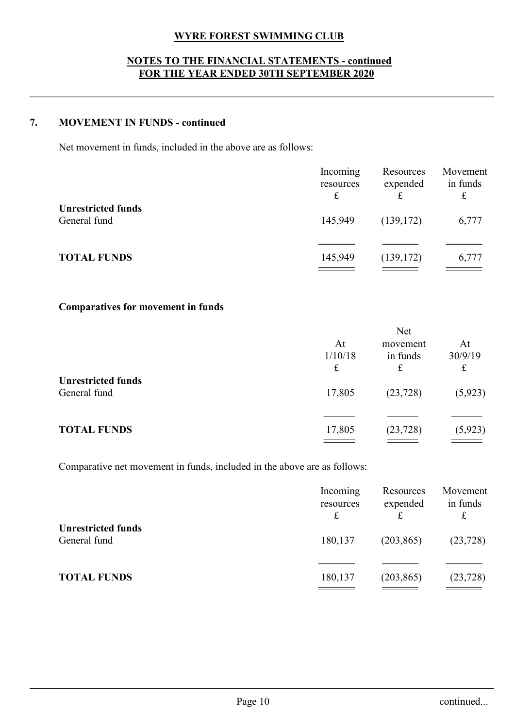# WYRE FOREST SWIMMING CLUB<br>O THE FINANCIAL STATEMENTS - continued<br>IE YEAR ENDED 30TH SEPTEMBER 2020 WYRE FOREST SWIMMING CLUB<br>
NOTES TO THE FINANCIAL STATEMENTS - continued<br>
FOR THE YEAR ENDED 30TH SEPTEMBER 2020 WYRE FOREST SWIMMING CLUB<br>TES TO THE FINANCIAL STATEMENTS - continued<br>FOR THE YEAR ENDED 30TH SEPTEMBER 2020<br>FUNDS - continued

|    | <b>WYRE FOREST SWIMMING CLUB</b><br><b>NOTES TO THE FINANCIAL STATEMENTS - continued</b><br>FOR THE YEAR ENDED 30TH SEPTEMBER 2020 |                                      |                                          |                                       |
|----|------------------------------------------------------------------------------------------------------------------------------------|--------------------------------------|------------------------------------------|---------------------------------------|
| 7. | <b>MOVEMENT IN FUNDS - continued</b>                                                                                               |                                      |                                          |                                       |
|    | Net movement in funds, included in the above are as follows:                                                                       |                                      |                                          |                                       |
|    |                                                                                                                                    | Incoming<br>resources<br>$\mathbf f$ | Resources<br>expended<br>$\mathbf f$     | Movement<br>in funds<br>${\mathbf f}$ |
|    | <b>Unrestricted funds</b><br>General fund                                                                                          | 145,949                              | (139, 172)                               | 6,777                                 |
|    | <b>TOTAL FUNDS</b>                                                                                                                 | 145,949                              | (139, 172)                               | 6,777                                 |
|    | Comparatives for movement in funds                                                                                                 |                                      |                                          |                                       |
|    |                                                                                                                                    | At<br>1/10/18<br>$\pounds$           | Net<br>movement<br>in funds<br>$\pounds$ | At<br>30/9/19<br>$\mathbf f$          |
|    | <b>Unrestricted funds</b><br>General fund                                                                                          | 17,805                               | (23, 728)                                | (5, 923)                              |
|    |                                                                                                                                    |                                      |                                          |                                       |

| <b>Unrestricted funds</b><br>General fund                                | Incoming<br>resources<br>$\pounds$<br>145,949 | Resources<br>expended<br>$\mathbf f$<br>(139, 172) | Movement<br>in funds<br>$\pounds$<br>6,777 |
|--------------------------------------------------------------------------|-----------------------------------------------|----------------------------------------------------|--------------------------------------------|
| <b>TOTAL FUNDS</b>                                                       | 145,949                                       | (139, 172)                                         | 6,777                                      |
| <b>Comparatives for movement in funds</b>                                |                                               |                                                    |                                            |
|                                                                          | At<br>1/10/18<br>$\pounds$                    | Net<br>movement<br>in funds<br>$\pounds$           | At<br>30/9/19<br>$\pounds$                 |
| <b>Unrestricted funds</b><br>General fund                                | 17,805                                        | (23, 728)                                          | (5, 923)                                   |
| <b>TOTAL FUNDS</b>                                                       | 17,805<br>$\sim$ $\sim$ $\sim$                | (23, 728)                                          | (5, 923)                                   |
| Comparative net movement in funds, included in the above are as follows: |                                               |                                                    |                                            |
|                                                                          | Incoming<br>resources<br>$\pounds$            | Resources<br>expended<br>$\pounds$                 | Movement<br>in funds<br>$\pounds$          |
| <b>Unrestricted funds</b><br>General fund                                | 180,137                                       | (203, 865)                                         | (23, 728)                                  |
| <b>TOTAL FUNDS</b>                                                       | 180,137                                       | (203, 865)                                         | (23, 728)                                  |

|                                                                          | 1/10/18<br>$\pounds$                 | in funds<br>$\ensuremath{\mathbf{f}}$    | 30/9/19<br>$\pounds$              |
|--------------------------------------------------------------------------|--------------------------------------|------------------------------------------|-----------------------------------|
| <b>Unrestricted funds</b><br>General fund                                | 17,805                               | (23, 728)                                | (5, 923)                          |
| <b>TOTAL FUNDS</b>                                                       | 17,805                               | (23, 728)                                | (5, 923)                          |
| Comparative net movement in funds, included in the above are as follows: |                                      |                                          |                                   |
|                                                                          | Incoming<br>resources<br>$\mathbf f$ | Resources<br>expended<br>$\pounds$       | Movement<br>in funds<br>$\pounds$ |
| <b>Unrestricted funds</b><br>General fund                                | 180,137                              | (203, 865)                               | (23, 728)                         |
| <b>TOTAL FUNDS</b>                                                       | 180,137                              | (203, 865)<br>$\equiv$ $\equiv$ $\equiv$ | (23, 728)                         |
|                                                                          |                                      |                                          |                                   |
|                                                                          |                                      |                                          |                                   |
|                                                                          |                                      |                                          |                                   |
| Page 10                                                                  |                                      |                                          | continued                         |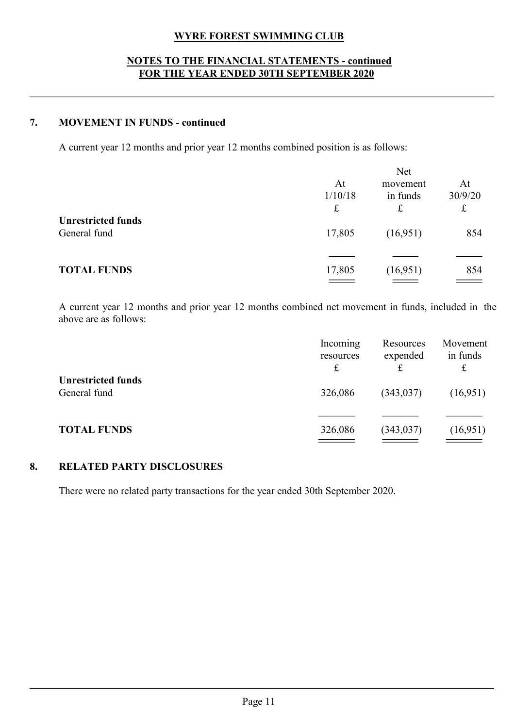# WYRE FOREST SWIMMING CLUB<br>O THE FINANCIAL STATEMENTS - continued<br>IE YEAR ENDED 30TH SEPTEMBER 2020 WYRE FOREST SWIMMING CLUB<br>
NOTES TO THE FINANCIAL STATEMENTS - continued<br>
FOR THE YEAR ENDED 30TH SEPTEMBER 2020 WYRE FOREST SWIMMING CLUB<br>TES TO THE FINANCIAL STATEMENTS - continued<br>FOR THE YEAR ENDED 30TH SEPTEMBER 2020<br>FUNDS - continued WYRE FOREST SWIMMING CLUB<br>
NOTES TO THE FINANCIAL STATEMENTS - continued<br>
FOR THE YEAR ENDED 30TH SEPTEMBER 2020<br>
7. MOVEMENT IN FUNDS - continued<br>
A current year 12 months and prior year 12 months combined position is as

|                                           |                                                                                                   | <b>WYRE FOREST SWIMMING CLUB</b><br><b>NOTES TO THE FINANCIAL STATEMENTS - continued</b><br>FOR THE YEAR ENDED 30TH SEPTEMBER 2020 |                                          |                                     |
|-------------------------------------------|---------------------------------------------------------------------------------------------------|------------------------------------------------------------------------------------------------------------------------------------|------------------------------------------|-------------------------------------|
|                                           | <b>MOVEMENT IN FUNDS - continued</b>                                                              |                                                                                                                                    |                                          |                                     |
|                                           | A current year 12 months and prior year 12 months combined position is as follows:                |                                                                                                                                    |                                          |                                     |
|                                           |                                                                                                   | At<br>1/10/18<br>$\pounds$                                                                                                         | Net<br>movement<br>in funds<br>$\pounds$ | At<br>30/9/20<br>$\mathbf f$        |
| <b>Unrestricted funds</b><br>General fund |                                                                                                   | 17,805                                                                                                                             | (16,951)                                 | 854                                 |
| <b>TOTAL FUNDS</b>                        |                                                                                                   | 17,805                                                                                                                             | (16,951)                                 | 854                                 |
| above are as follows:                     | A current year 12 months and prior year 12 months combined net movement in funds, included in the |                                                                                                                                    |                                          |                                     |
|                                           |                                                                                                   | Incoming<br>resources<br>$\pounds$                                                                                                 | Resources<br>expended<br>£               | Movement<br>in funds<br>$\mathbf f$ |
| <b>Unrestricted funds</b><br>General fund |                                                                                                   | 326,086                                                                                                                            | (343, 037)                               | (16,951)                            |
| <b>TOTAL FUNDS</b>                        |                                                                                                   | 326,086                                                                                                                            | (343, 037)                               | (16,951)                            |

|    |                                                                                                                            | £                                  | £                          | £                                 |
|----|----------------------------------------------------------------------------------------------------------------------------|------------------------------------|----------------------------|-----------------------------------|
|    | <b>Unrestricted funds</b><br>General fund                                                                                  | 17,805                             | (16,951)                   | 854                               |
|    | <b>TOTAL FUNDS</b>                                                                                                         | 17,805                             | (16,951)                   | 854                               |
|    | A current year 12 months and prior year 12 months combined net movement in funds, included in the<br>above are as follows: |                                    |                            |                                   |
|    |                                                                                                                            | Incoming<br>resources<br>$\pounds$ | Resources<br>expended<br>£ | Movement<br>in funds<br>$\pounds$ |
|    | <b>Unrestricted funds</b>                                                                                                  |                                    |                            |                                   |
|    | General fund                                                                                                               | 326,086                            | (343, 037)                 | (16,951)                          |
|    | <b>TOTAL FUNDS</b>                                                                                                         | 326,086                            | (343, 037)                 | (16,951)                          |
| 8. | <b>RELATED PARTY DISCLOSURES</b>                                                                                           |                                    |                            |                                   |
|    | There were no related party transactions for the year ended 30th September 2020.                                           |                                    |                            |                                   |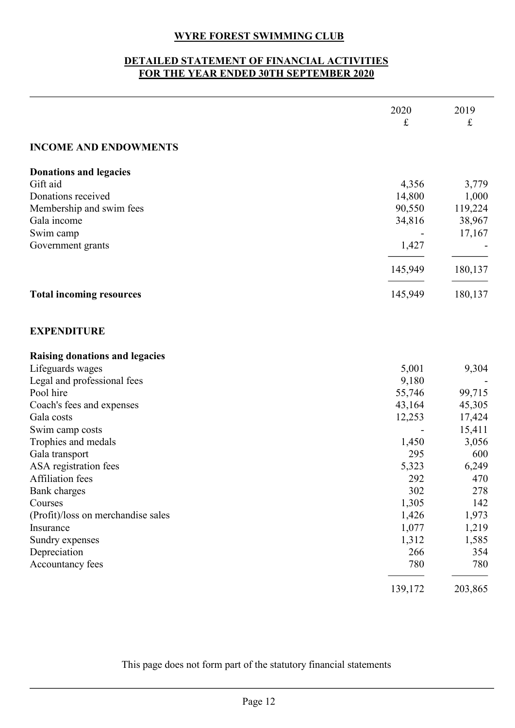# WYRE FOREST SWIMMING CLUB<br>D STATEMENT OF FINANCIAL ACTIVITIES<br>IE YEAR ENDED 30TH SEPTEMBER 2020

|                                                                                      | <b>WYRE FOREST SWIMMING CLUB</b>  |                     |
|--------------------------------------------------------------------------------------|-----------------------------------|---------------------|
| DETAILED STATEMENT OF FINANCIAL ACTIVITIES<br>FOR THE YEAR ENDED 30TH SEPTEMBER 2020 |                                   |                     |
|                                                                                      | 2020<br>$\mathbf f$               | 2019<br>$\mathbf f$ |
| <b>INCOME AND ENDOWMENTS</b>                                                         |                                   |                     |
| <b>Donations and legacies</b>                                                        |                                   |                     |
| Gift aid<br>Donations received                                                       | 4,356<br>14,800                   | 3,779<br>1,000      |
| Membership and swim fees                                                             | 90,550                            | 119,224             |
| Gala income                                                                          | 34,816                            | 38,967              |
| Swim camp<br>Government grants                                                       | $\overline{\phantom{a}}$<br>1,427 | 17,167              |
|                                                                                      | 145,949                           | 180,137             |
| <b>Total incoming resources</b>                                                      | 145,949                           | 180,137             |
|                                                                                      |                                   |                     |
| <b>EXPENDITURE</b>                                                                   |                                   |                     |
| Raising donations and legacies                                                       |                                   |                     |
| Lifeguards wages<br>Legal and professional fees                                      | 5,001<br>9,180                    | 9,304               |
| Pool hire                                                                            | 55,746                            | 99,715              |
| Coach's fees and expenses                                                            | 43,164                            | 45,305              |
| Gala costs                                                                           | 12,253                            | 17,424              |
| Swim camp costs                                                                      |                                   | 15,411              |
| Trophies and medals<br>Gala transport                                                | 1,450<br>295                      | 3,056<br>600        |
| ASA registration fees                                                                | 5,323                             | 6,249               |
| Affiliation fees                                                                     | 292                               | 470                 |
| Bank charges                                                                         | 302                               | 278                 |
| Courses                                                                              | 1,305                             | 142                 |
| (Profit)/loss on merchandise sales<br>Insurance                                      | 1,426<br>1,077                    | 1,973<br>1,219      |
| Sundry expenses                                                                      | 1,312                             | 1,585               |
| Depreciation                                                                         | 266                               | 354                 |
| Accountancy fees                                                                     | 780                               | 780                 |
|                                                                                      | 139,172                           | 203,865             |